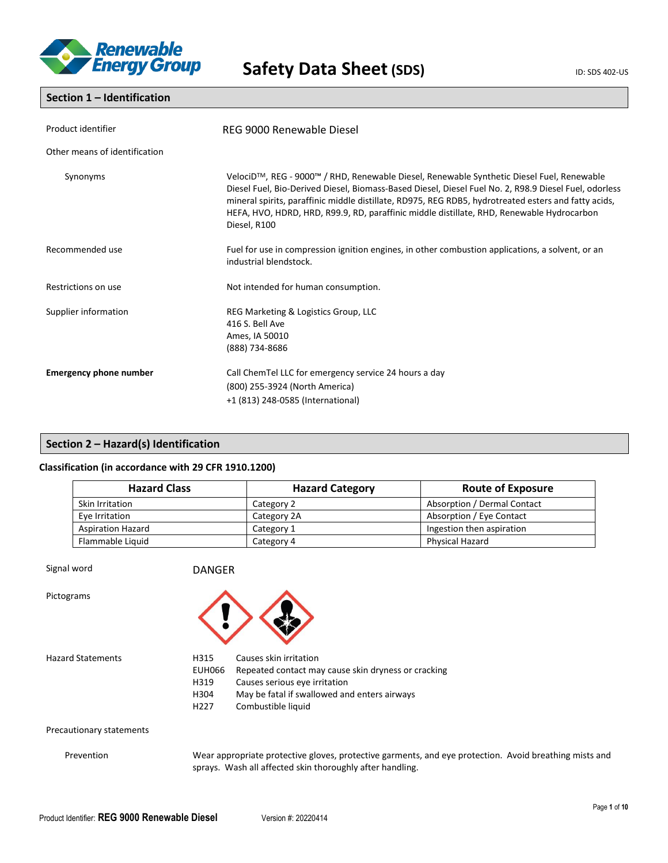

### **Section 1 – Identification**

| Product identifier            | REG 9000 Renewable Diesel                                                                                                                                                                                                                                                                                                                                                                                               |  |  |
|-------------------------------|-------------------------------------------------------------------------------------------------------------------------------------------------------------------------------------------------------------------------------------------------------------------------------------------------------------------------------------------------------------------------------------------------------------------------|--|--|
| Other means of identification |                                                                                                                                                                                                                                                                                                                                                                                                                         |  |  |
| Synonyms                      | VelociD™, REG - 9000™ / RHD, Renewable Diesel, Renewable Synthetic Diesel Fuel, Renewable<br>Diesel Fuel, Bio-Derived Diesel, Biomass-Based Diesel, Diesel Fuel No. 2, R98.9 Diesel Fuel, odorless<br>mineral spirits, paraffinic middle distillate, RD975, REG RDB5, hydrotreated esters and fatty acids,<br>HEFA, HVO, HDRD, HRD, R99.9, RD, paraffinic middle distillate, RHD, Renewable Hydrocarbon<br>Diesel, R100 |  |  |
| Recommended use               | Fuel for use in compression ignition engines, in other combustion applications, a solvent, or an<br>industrial blendstock.                                                                                                                                                                                                                                                                                              |  |  |
| Restrictions on use           | Not intended for human consumption.                                                                                                                                                                                                                                                                                                                                                                                     |  |  |
| Supplier information          | REG Marketing & Logistics Group, LLC<br>416 S. Bell Ave<br>Ames, IA 50010<br>(888) 734-8686                                                                                                                                                                                                                                                                                                                             |  |  |
| <b>Emergency phone number</b> | Call ChemTel LLC for emergency service 24 hours a day<br>(800) 255-3924 (North America)<br>+1 (813) 248-0585 (International)                                                                                                                                                                                                                                                                                            |  |  |

### **Section 2 – Hazard(s) Identification**

### **Classification (in accordance with 29 CFR 1910.1200)**

| <b>Hazard Class</b><br><b>Hazard Category</b> |             | <b>Route of Exposure</b>    |
|-----------------------------------------------|-------------|-----------------------------|
| Skin Irritation                               | Category 2  | Absorption / Dermal Contact |
| Eye Irritation                                | Category 2A | Absorption / Eye Contact    |
| <b>Aspiration Hazard</b>                      | Category 1  | Ingestion then aspiration   |
| Flammable Liquid                              | Category 4  | Physical Hazard             |

Signal word **DANGER** 

Pictograms



Hazard Statements **H315** Causes skin irritation EUH066 Repeated contact may cause skin dryness or cracking<br>H319 Causes serious eve irritation Causes serious eye irritation H304 May be fatal if swallowed and enters airways H227 Combustible liquid

### Precautionary statements

Prevention Wear appropriate protective gloves, protective garments, and eye protection. Avoid breathing mists and sprays. Wash all affected skin thoroughly after handling.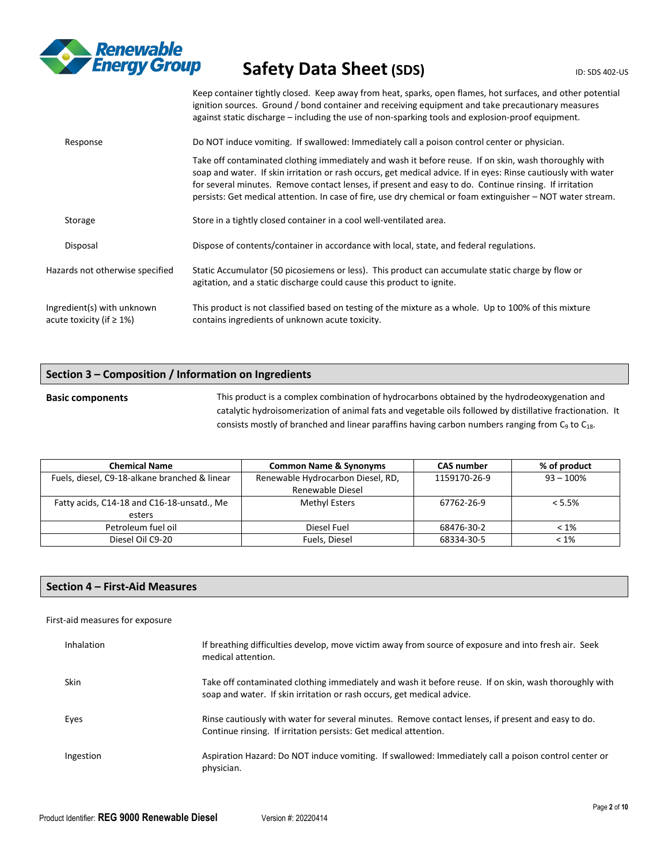

Keep container tightly closed. Keep away from heat, sparks, open flames, hot surfaces, and other potential ignition sources. Ground / bond container and receiving equipment and take precautionary measures against static discharge – including the use of non-sparking tools and explosion-proof equipment.

| Response                                               | Do NOT induce vomiting. If swallowed: Immediately call a poison control center or physician.                                                                                                                                                                                                                                                                                                                                                     |
|--------------------------------------------------------|--------------------------------------------------------------------------------------------------------------------------------------------------------------------------------------------------------------------------------------------------------------------------------------------------------------------------------------------------------------------------------------------------------------------------------------------------|
|                                                        | Take off contaminated clothing immediately and wash it before reuse. If on skin, wash thoroughly with<br>soap and water. If skin irritation or rash occurs, get medical advice. If in eyes: Rinse cautiously with water<br>for several minutes. Remove contact lenses, if present and easy to do. Continue rinsing. If irritation<br>persists: Get medical attention. In case of fire, use dry chemical or foam extinguisher – NOT water stream. |
| Storage                                                | Store in a tightly closed container in a cool well-ventilated area.                                                                                                                                                                                                                                                                                                                                                                              |
| Disposal                                               | Dispose of contents/container in accordance with local, state, and federal regulations.                                                                                                                                                                                                                                                                                                                                                          |
| Hazards not otherwise specified                        | Static Accumulator (50 picosiemens or less). This product can accumulate static charge by flow or<br>agitation, and a static discharge could cause this product to ignite.                                                                                                                                                                                                                                                                       |
| Ingredient(s) with unknown<br>acute toxicity (if ≥ 1%) | This product is not classified based on testing of the mixture as a whole. Up to 100% of this mixture<br>contains ingredients of unknown acute toxicity.                                                                                                                                                                                                                                                                                         |

### **Section 3 – Composition / Information on Ingredients**

**Basic components** This product is a complex combination of hydrocarbons obtained by the hydrodeoxygenation and catalytic hydroisomerization of animal fats and vegetable oils followed by distillative fractionation. It consists mostly of branched and linear paraffins having carbon numbers ranging from  $C_9$  to  $C_{18}$ .

| <b>Chemical Name</b>                          | <b>Common Name &amp; Synonyms</b> | <b>CAS number</b> | % of product |
|-----------------------------------------------|-----------------------------------|-------------------|--------------|
| Fuels, diesel, C9-18-alkane branched & linear | Renewable Hydrocarbon Diesel, RD, | 1159170-26-9      | $93 - 100\%$ |
|                                               | Renewable Diesel                  |                   |              |
| Fatty acids, C14-18 and C16-18-unsatd., Me    | Methyl Esters                     | 67762-26-9        | $< 5.5\%$    |
| esters                                        |                                   |                   |              |
| Petroleum fuel oil                            | Diesel Fuel                       | 68476-30-2        | $< 1\%$      |
| Diesel Oil C9-20                              | Fuels, Diesel                     | 68334-30-5        | $< 1\%$      |

### **Section 4 – First-Aid Measures**

### First-aid measures for exposure

| Inhalation  | If breathing difficulties develop, move victim away from source of exposure and into fresh air. Seek<br>medical attention.                                                      |
|-------------|---------------------------------------------------------------------------------------------------------------------------------------------------------------------------------|
| <b>Skin</b> | Take off contaminated clothing immediately and wash it before reuse. If on skin, wash thoroughly with<br>soap and water. If skin irritation or rash occurs, get medical advice. |
| Eyes        | Rinse cautiously with water for several minutes. Remove contact lenses, if present and easy to do.<br>Continue rinsing. If irritation persists: Get medical attention.          |
| Ingestion   | Aspiration Hazard: Do NOT induce vomiting. If swallowed: Immediately call a poison control center or<br>physician.                                                              |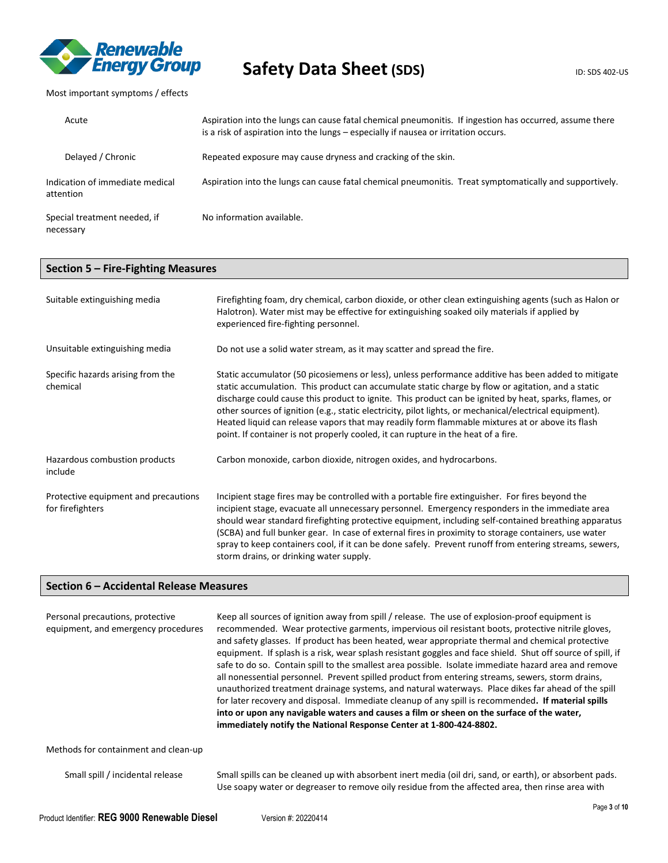

Most important symptoms / effects

| Acute                                        | Aspiration into the lungs can cause fatal chemical pneumonitis. If ingestion has occurred, assume there<br>is a risk of aspiration into the lungs – especially if nausea or irritation occurs. |
|----------------------------------------------|------------------------------------------------------------------------------------------------------------------------------------------------------------------------------------------------|
| Delayed / Chronic                            | Repeated exposure may cause dryness and cracking of the skin.                                                                                                                                  |
| Indication of immediate medical<br>attention | Aspiration into the lungs can cause fatal chemical pneumonitis. Treat symptomatically and supportively.                                                                                        |
| Special treatment needed, if<br>necessary    | No information available.                                                                                                                                                                      |

### **Section 5 – Fire-Fighting Measures**

| Suitable extinguishing media                             | Firefighting foam, dry chemical, carbon dioxide, or other clean extinguishing agents (such as Halon or<br>Halotron). Water mist may be effective for extinguishing soaked oily materials if applied by<br>experienced fire-fighting personnel.                                                                                                                                                                                                                                                                                                                                                                       |  |
|----------------------------------------------------------|----------------------------------------------------------------------------------------------------------------------------------------------------------------------------------------------------------------------------------------------------------------------------------------------------------------------------------------------------------------------------------------------------------------------------------------------------------------------------------------------------------------------------------------------------------------------------------------------------------------------|--|
| Unsuitable extinguishing media                           | Do not use a solid water stream, as it may scatter and spread the fire.                                                                                                                                                                                                                                                                                                                                                                                                                                                                                                                                              |  |
| Specific hazards arising from the<br>chemical            | Static accumulator (50 picosiemens or less), unless performance additive has been added to mitigate<br>static accumulation. This product can accumulate static charge by flow or agitation, and a static<br>discharge could cause this product to ignite. This product can be ignited by heat, sparks, flames, or<br>other sources of ignition (e.g., static electricity, pilot lights, or mechanical/electrical equipment).<br>Heated liquid can release vapors that may readily form flammable mixtures at or above its flash<br>point. If container is not properly cooled, it can rupture in the heat of a fire. |  |
| Hazardous combustion products<br>include                 | Carbon monoxide, carbon dioxide, nitrogen oxides, and hydrocarbons.                                                                                                                                                                                                                                                                                                                                                                                                                                                                                                                                                  |  |
| Protective equipment and precautions<br>for firefighters | Incipient stage fires may be controlled with a portable fire extinguisher. For fires beyond the<br>incipient stage, evacuate all unnecessary personnel. Emergency responders in the immediate area<br>should wear standard firefighting protective equipment, including self-contained breathing apparatus<br>(SCBA) and full bunker gear. In case of external fires in proximity to storage containers, use water<br>spray to keep containers cool, if it can be done safely. Prevent runoff from entering streams, sewers,<br>storm drains, or drinking water supply.                                              |  |

### **Section 6 – Accidental Release Measures**

| Personal precautions, protective<br>equipment, and emergency procedures | Keep all sources of ignition away from spill / release. The use of explosion-proof equipment is<br>recommended. Wear protective garments, impervious oil resistant boots, protective nitrile gloves,<br>and safety glasses. If product has been heated, wear appropriate thermal and chemical protective<br>equipment. If splash is a risk, wear splash resistant goggles and face shield. Shut off source of spill, if<br>safe to do so. Contain spill to the smallest area possible. Isolate immediate hazard area and remove<br>all nonessential personnel. Prevent spilled product from entering streams, sewers, storm drains,<br>unauthorized treatment drainage systems, and natural waterways. Place dikes far ahead of the spill<br>for later recovery and disposal. Immediate cleanup of any spill is recommended. If material spills<br>into or upon any navigable waters and causes a film or sheen on the surface of the water,<br>immediately notify the National Response Center at 1-800-424-8802. |
|-------------------------------------------------------------------------|--------------------------------------------------------------------------------------------------------------------------------------------------------------------------------------------------------------------------------------------------------------------------------------------------------------------------------------------------------------------------------------------------------------------------------------------------------------------------------------------------------------------------------------------------------------------------------------------------------------------------------------------------------------------------------------------------------------------------------------------------------------------------------------------------------------------------------------------------------------------------------------------------------------------------------------------------------------------------------------------------------------------|
| Methods for containment and clean-up                                    |                                                                                                                                                                                                                                                                                                                                                                                                                                                                                                                                                                                                                                                                                                                                                                                                                                                                                                                                                                                                                    |
| Small spill / incidental release                                        | Small spills can be cleaned up with absorbent inert media (oil dri, sand, or earth), or absorbent pads.                                                                                                                                                                                                                                                                                                                                                                                                                                                                                                                                                                                                                                                                                                                                                                                                                                                                                                            |

Use soapy water or degreaser to remove oily residue from the affected area, then rinse area with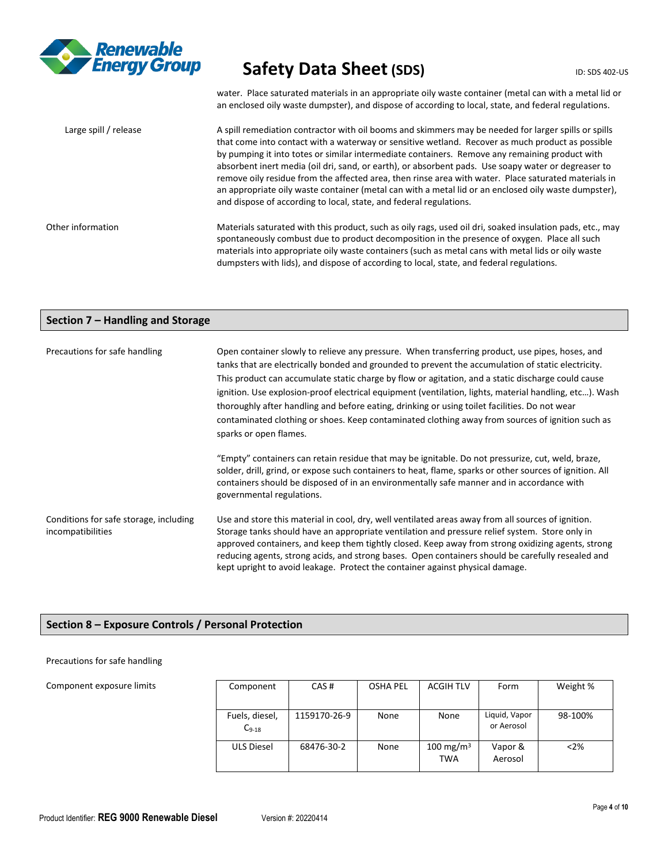

water. Place saturated materials in an appropriate oily waste container (metal can with a metal lid or an enclosed oily waste dumpster), and dispose of according to local, state, and federal regulations.

Large spill / release A spill remediation contractor with oil booms and skimmers may be needed for larger spills or spills that come into contact with a waterway or sensitive wetland. Recover as much product as possible by pumping it into totes or similar intermediate containers. Remove any remaining product with absorbent inert media (oil dri, sand, or earth), or absorbent pads. Use soapy water or degreaser to remove oily residue from the affected area, then rinse area with water. Place saturated materials in an appropriate oily waste container (metal can with a metal lid or an enclosed oily waste dumpster), and dispose of according to local, state, and federal regulations. Other information Materials saturated with this product, such as oily rags, used oil dri, soaked insulation pads, etc., may spontaneously combust due to product decomposition in the presence of oxygen. Place all such materials into appropriate oily waste containers (such as metal cans with metal lids or oily waste dumpsters with lids), and dispose of according to local, state, and federal regulations.

### **Section 7 – Handling and Storage**

| Precautions for safe handling                               | Open container slowly to relieve any pressure. When transferring product, use pipes, hoses, and<br>tanks that are electrically bonded and grounded to prevent the accumulation of static electricity.<br>This product can accumulate static charge by flow or agitation, and a static discharge could cause<br>ignition. Use explosion-proof electrical equipment (ventilation, lights, material handling, etc). Wash<br>thoroughly after handling and before eating, drinking or using toilet facilities. Do not wear<br>contaminated clothing or shoes. Keep contaminated clothing away from sources of ignition such as<br>sparks or open flames. |  |  |  |
|-------------------------------------------------------------|------------------------------------------------------------------------------------------------------------------------------------------------------------------------------------------------------------------------------------------------------------------------------------------------------------------------------------------------------------------------------------------------------------------------------------------------------------------------------------------------------------------------------------------------------------------------------------------------------------------------------------------------------|--|--|--|
|                                                             | "Empty" containers can retain residue that may be ignitable. Do not pressurize, cut, weld, braze,<br>solder, drill, grind, or expose such containers to heat, flame, sparks or other sources of ignition. All<br>containers should be disposed of in an environmentally safe manner and in accordance with<br>governmental regulations.                                                                                                                                                                                                                                                                                                              |  |  |  |
| Conditions for safe storage, including<br>incompatibilities | Use and store this material in cool, dry, well ventilated areas away from all sources of ignition.<br>Storage tanks should have an appropriate ventilation and pressure relief system. Store only in<br>approved containers, and keep them tightly closed. Keep away from strong oxidizing agents, strong<br>reducing agents, strong acids, and strong bases. Open containers should be carefully resealed and<br>kept upright to avoid leakage. Protect the container against physical damage.                                                                                                                                                      |  |  |  |

### **Section 8 – Exposure Controls / Personal Protection**

### Precautions for safe handling

Component exposure limits

| Component                    | CAS#         | <b>OSHA PEL</b> | <b>ACGIH TLV</b>                    | Form                        | Weight % |
|------------------------------|--------------|-----------------|-------------------------------------|-----------------------------|----------|
|                              |              |                 |                                     |                             |          |
| Fuels, diesel,<br>$C_{9-18}$ | 1159170-26-9 | None            | None                                | Liquid, Vapor<br>or Aerosol | 98-100%  |
| <b>ULS Diesel</b>            | 68476-30-2   | None            | 100 mg/m <sup>3</sup><br><b>TWA</b> | Vapor &<br>Aerosol          | < 2%     |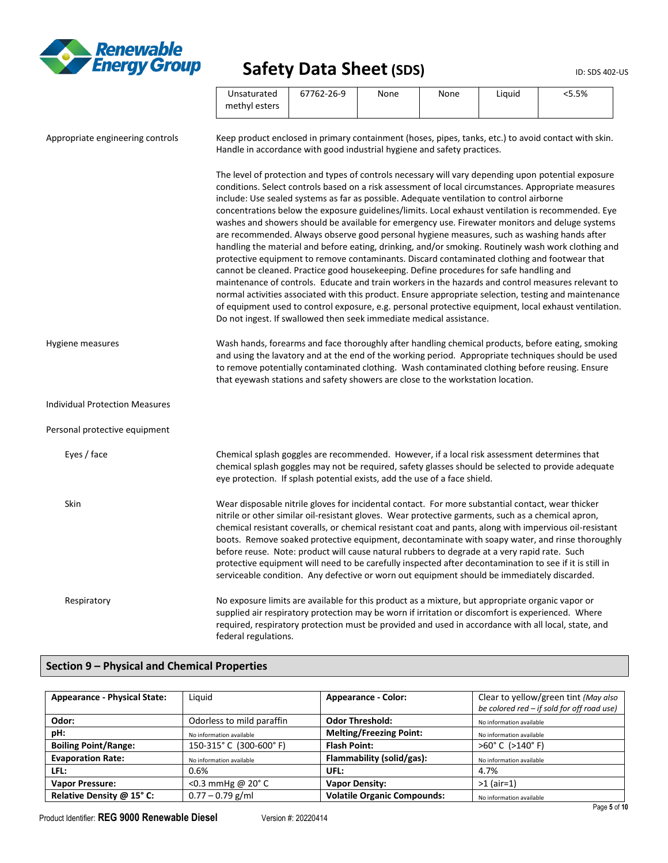

 $\overline{\phantom{0}}$ 

|                                       | Unsaturated<br>methyl esters                                                                                                                                                                                                                                                                                                                                                                                                                             | 67762-26-9 | None | None | Liquid | < 5.5%                                                                                                                                                                                                                                                                                                                                                                                                                                                                                                                                                                                                                                                                                                                                                                                                                                             |
|---------------------------------------|----------------------------------------------------------------------------------------------------------------------------------------------------------------------------------------------------------------------------------------------------------------------------------------------------------------------------------------------------------------------------------------------------------------------------------------------------------|------------|------|------|--------|----------------------------------------------------------------------------------------------------------------------------------------------------------------------------------------------------------------------------------------------------------------------------------------------------------------------------------------------------------------------------------------------------------------------------------------------------------------------------------------------------------------------------------------------------------------------------------------------------------------------------------------------------------------------------------------------------------------------------------------------------------------------------------------------------------------------------------------------------|
| Appropriate engineering controls      | Keep product enclosed in primary containment (hoses, pipes, tanks, etc.) to avoid contact with skin.<br>Handle in accordance with good industrial hygiene and safety practices.                                                                                                                                                                                                                                                                          |            |      |      |        |                                                                                                                                                                                                                                                                                                                                                                                                                                                                                                                                                                                                                                                                                                                                                                                                                                                    |
|                                       | include: Use sealed systems as far as possible. Adequate ventilation to control airborne<br>are recommended. Always observe good personal hygiene measures, such as washing hands after<br>protective equipment to remove contaminants. Discard contaminated clothing and footwear that<br>cannot be cleaned. Practice good housekeeping. Define procedures for safe handling and<br>Do not ingest. If swallowed then seek immediate medical assistance. |            |      |      |        | The level of protection and types of controls necessary will vary depending upon potential exposure<br>conditions. Select controls based on a risk assessment of local circumstances. Appropriate measures<br>concentrations below the exposure guidelines/limits. Local exhaust ventilation is recommended. Eye<br>washes and showers should be available for emergency use. Firewater monitors and deluge systems<br>handling the material and before eating, drinking, and/or smoking. Routinely wash work clothing and<br>maintenance of controls. Educate and train workers in the hazards and control measures relevant to<br>normal activities associated with this product. Ensure appropriate selection, testing and maintenance<br>of equipment used to control exposure, e.g. personal protective equipment, local exhaust ventilation. |
| Hygiene measures                      | to remove potentially contaminated clothing. Wash contaminated clothing before reusing. Ensure<br>that eyewash stations and safety showers are close to the workstation location.                                                                                                                                                                                                                                                                        |            |      |      |        | Wash hands, forearms and face thoroughly after handling chemical products, before eating, smoking<br>and using the lavatory and at the end of the working period. Appropriate techniques should be used                                                                                                                                                                                                                                                                                                                                                                                                                                                                                                                                                                                                                                            |
| <b>Individual Protection Measures</b> |                                                                                                                                                                                                                                                                                                                                                                                                                                                          |            |      |      |        |                                                                                                                                                                                                                                                                                                                                                                                                                                                                                                                                                                                                                                                                                                                                                                                                                                                    |
| Personal protective equipment         |                                                                                                                                                                                                                                                                                                                                                                                                                                                          |            |      |      |        |                                                                                                                                                                                                                                                                                                                                                                                                                                                                                                                                                                                                                                                                                                                                                                                                                                                    |
| Eyes / face                           | Chemical splash goggles are recommended. However, if a local risk assessment determines that<br>eye protection. If splash potential exists, add the use of a face shield.                                                                                                                                                                                                                                                                                |            |      |      |        | chemical splash goggles may not be required, safety glasses should be selected to provide adequate                                                                                                                                                                                                                                                                                                                                                                                                                                                                                                                                                                                                                                                                                                                                                 |
| Skin                                  | Wear disposable nitrile gloves for incidental contact. For more substantial contact, wear thicker<br>nitrile or other similar oil-resistant gloves. Wear protective garments, such as a chemical apron,<br>before reuse. Note: product will cause natural rubbers to degrade at a very rapid rate. Such<br>serviceable condition. Any defective or worn out equipment should be immediately discarded.                                                   |            |      |      |        | chemical resistant coveralls, or chemical resistant coat and pants, along with impervious oil-resistant<br>boots. Remove soaked protective equipment, decontaminate with soapy water, and rinse thoroughly<br>protective equipment will need to be carefully inspected after decontamination to see if it is still in                                                                                                                                                                                                                                                                                                                                                                                                                                                                                                                              |
| Respiratory                           | No exposure limits are available for this product as a mixture, but appropriate organic vapor or<br>supplied air respiratory protection may be worn if irritation or discomfort is experienced. Where<br>required, respiratory protection must be provided and used in accordance with all local, state, and<br>federal regulations.                                                                                                                     |            |      |      |        |                                                                                                                                                                                                                                                                                                                                                                                                                                                                                                                                                                                                                                                                                                                                                                                                                                                    |

### **Section 9 – Physical and Chemical Properties**

| <b>Appearance - Physical State:</b> | Liquid                     | <b>Appearance - Color:</b>         | Clear to yellow/green tint (May also<br>be colored red - if sold for off road use) |
|-------------------------------------|----------------------------|------------------------------------|------------------------------------------------------------------------------------|
| Odor:                               | Odorless to mild paraffin  | <b>Odor Threshold:</b>             | No information available                                                           |
| pH:                                 | No information available   | <b>Melting/Freezing Point:</b>     | No information available                                                           |
| <b>Boiling Point/Range:</b>         | 150-315°C (300-600°F)      | <b>Flash Point:</b>                | $>60^{\circ}$ C ( $>140^{\circ}$ F)                                                |
| <b>Evaporation Rate:</b>            | No information available   | Flammability (solid/gas):          | No information available                                                           |
| LFL:                                | 0.6%                       | UFL:                               | 4.7%                                                                               |
| <b>Vapor Pressure:</b>              | <0.3 mmHg @ $20^{\circ}$ C | <b>Vapor Density:</b>              | $>1$ (air=1)                                                                       |
| Relative Density @ 15° C:           | $0.77 - 0.79$ g/ml         | <b>Volatile Organic Compounds:</b> | No information available                                                           |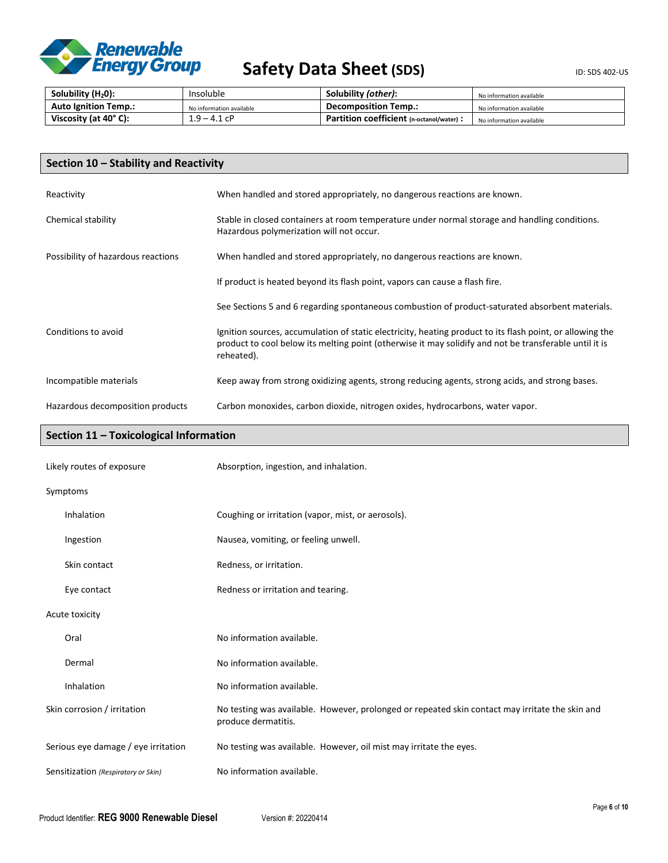

| Solubility (H <sub>2</sub> 0): | Insoluble                | Solubility (other):                       | No information available |
|--------------------------------|--------------------------|-------------------------------------------|--------------------------|
| <b>Auto Ignition Temp.:</b>    | No information available | <b>Decomposition Temp.:</b>               | No information available |
| Viscosity (at 40°C):           | .9 – 4.1 cP              | Partition coefficient (n-octanol/water) : | No information available |

| Section 10 - Stability and Reactivity |                                                                                                                                                                                                                                   |  |
|---------------------------------------|-----------------------------------------------------------------------------------------------------------------------------------------------------------------------------------------------------------------------------------|--|
| Reactivity                            | When handled and stored appropriately, no dangerous reactions are known.                                                                                                                                                          |  |
| Chemical stability                    | Stable in closed containers at room temperature under normal storage and handling conditions.<br>Hazardous polymerization will not occur.                                                                                         |  |
| Possibility of hazardous reactions    | When handled and stored appropriately, no dangerous reactions are known.                                                                                                                                                          |  |
|                                       | If product is heated beyond its flash point, vapors can cause a flash fire.                                                                                                                                                       |  |
|                                       | See Sections 5 and 6 regarding spontaneous combustion of product-saturated absorbent materials.                                                                                                                                   |  |
| Conditions to avoid                   | Ignition sources, accumulation of static electricity, heating product to its flash point, or allowing the<br>product to cool below its melting point (otherwise it may solidify and not be transferable until it is<br>reheated). |  |
| Incompatible materials                | Keep away from strong oxidizing agents, strong reducing agents, strong acids, and strong bases.                                                                                                                                   |  |
| Hazardous decomposition products      | Carbon monoxides, carbon dioxide, nitrogen oxides, hydrocarbons, water vapor.                                                                                                                                                     |  |

### **Section 11 – Toxicological Information**

| Likely routes of exposure           | Absorption, ingestion, and inhalation.                                                                                 |
|-------------------------------------|------------------------------------------------------------------------------------------------------------------------|
| Symptoms                            |                                                                                                                        |
| Inhalation                          | Coughing or irritation (vapor, mist, or aerosols).                                                                     |
| Ingestion                           | Nausea, vomiting, or feeling unwell.                                                                                   |
| Skin contact                        | Redness, or irritation.                                                                                                |
| Eye contact                         | Redness or irritation and tearing.                                                                                     |
| Acute toxicity                      |                                                                                                                        |
| Oral                                | No information available.                                                                                              |
| Dermal                              | No information available.                                                                                              |
| Inhalation                          | No information available.                                                                                              |
| Skin corrosion / irritation         | No testing was available. However, prolonged or repeated skin contact may irritate the skin and<br>produce dermatitis. |
| Serious eye damage / eye irritation | No testing was available. However, oil mist may irritate the eyes.                                                     |
| Sensitization (Respiratory or Skin) | No information available.                                                                                              |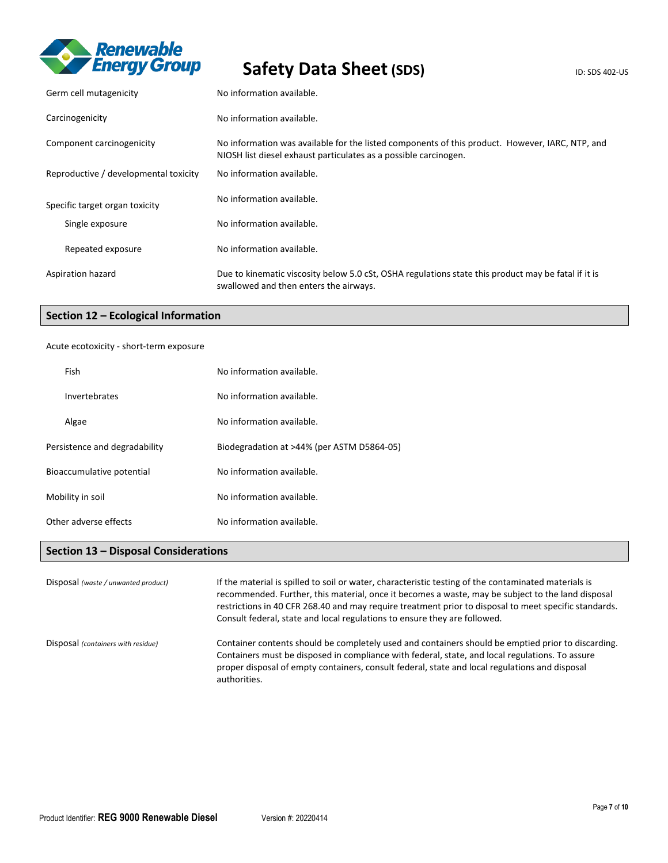

| Germ cell mutagenicity                | No information available.                                                                                                                                           |
|---------------------------------------|---------------------------------------------------------------------------------------------------------------------------------------------------------------------|
| Carcinogenicity                       | No information available.                                                                                                                                           |
| Component carcinogenicity             | No information was available for the listed components of this product. However, IARC, NTP, and<br>NIOSH list diesel exhaust particulates as a possible carcinogen. |
| Reproductive / developmental toxicity | No information available.                                                                                                                                           |
| Specific target organ toxicity        | No information available.                                                                                                                                           |
| Single exposure                       | No information available.                                                                                                                                           |
| Repeated exposure                     | No information available.                                                                                                                                           |
| Aspiration hazard                     | Due to kinematic viscosity below 5.0 cSt, OSHA regulations state this product may be fatal if it is<br>swallowed and then enters the airways.                       |

### **Section 12 – Ecological Information**

### Acute ecotoxicity - short-term exposure

| Fish                          | No information available.                  |
|-------------------------------|--------------------------------------------|
| Invertebrates                 | No information available.                  |
| Algae                         | No information available.                  |
| Persistence and degradability | Biodegradation at >44% (per ASTM D5864-05) |
| Bioaccumulative potential     | No information available.                  |
| Mobility in soil              | No information available.                  |
| Other adverse effects         | No information available.                  |

### **Section 13 – Disposal Considerations**

| Disposal (waste / unwanted product) | If the material is spilled to soil or water, characteristic testing of the contaminated materials is<br>recommended. Further, this material, once it becomes a waste, may be subject to the land disposal<br>restrictions in 40 CFR 268.40 and may require treatment prior to disposal to meet specific standards.<br>Consult federal, state and local regulations to ensure they are followed. |
|-------------------------------------|-------------------------------------------------------------------------------------------------------------------------------------------------------------------------------------------------------------------------------------------------------------------------------------------------------------------------------------------------------------------------------------------------|
| Disposal (containers with residue)  | Container contents should be completely used and containers should be emptied prior to discarding.<br>Containers must be disposed in compliance with federal, state, and local regulations. To assure<br>proper disposal of empty containers, consult federal, state and local regulations and disposal<br>authorities.                                                                         |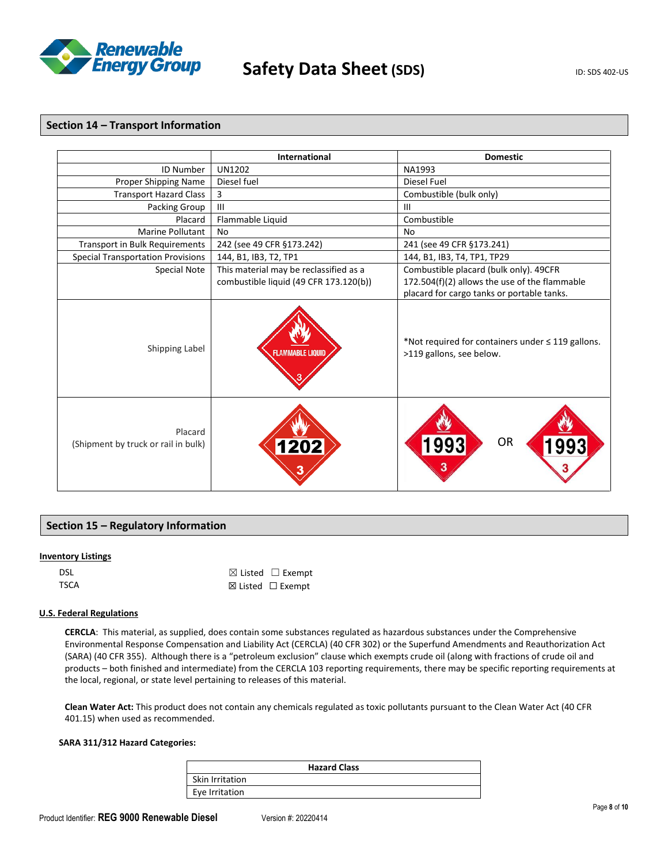

### **Section 14 – Transport Information**

|                                                | International                          | <b>Domestic</b>                                                                    |
|------------------------------------------------|----------------------------------------|------------------------------------------------------------------------------------|
| <b>ID Number</b>                               | <b>UN1202</b>                          | NA1993                                                                             |
| Proper Shipping Name                           | Diesel fuel                            | Diesel Fuel                                                                        |
| <b>Transport Hazard Class</b>                  | 3                                      | Combustible (bulk only)                                                            |
| Packing Group                                  | $\mathbf{III}$                         | $\mathbf{III}$                                                                     |
| Placard                                        | Flammable Liquid                       | Combustible                                                                        |
| <b>Marine Pollutant</b>                        | No                                     | <b>No</b>                                                                          |
| Transport in Bulk Requirements                 | 242 (see 49 CFR §173.242)              | 241 (see 49 CFR §173.241)                                                          |
| <b>Special Transportation Provisions</b>       | 144, B1, IB3, T2, TP1                  | 144, B1, IB3, T4, TP1, TP29                                                        |
| Special Note                                   | This material may be reclassified as a | Combustible placard (bulk only). 49CFR                                             |
|                                                | combustible liquid (49 CFR 173.120(b)) | 172.504(f)(2) allows the use of the flammable                                      |
|                                                |                                        | placard for cargo tanks or portable tanks.                                         |
| Shipping Label                                 | <b>FLAMMABLE LIQUID</b>                | *Not required for containers under $\leq$ 119 gallons.<br>>119 gallons, see below. |
| Placard<br>(Shipment by truck or rail in bulk) | 1202                                   | OR<br>1993<br>3                                                                    |

### **Section 15 – Regulatory Information**

### **Inventory Listings**

| DSL  | $\boxtimes$ Listed $\Box$ Exempt |
|------|----------------------------------|
| TSCA | ⊠ Listed $□$ Exempt              |

### **U.S. Federal Regulations**

**CERCLA**: This material, as supplied, does contain some substances regulated as hazardous substances under the Comprehensive Environmental Response Compensation and Liability Act (CERCLA) (40 CFR 302) or the Superfund Amendments and Reauthorization Act (SARA) (40 CFR 355). Although there is a "petroleum exclusion" clause which exempts crude oil (along with fractions of crude oil and products – both finished and intermediate) from the CERCLA 103 reporting requirements, there may be specific reporting requirements at the local, regional, or state level pertaining to releases of this material.

**Clean Water Act:** This product does not contain any chemicals regulated as toxic pollutants pursuant to the Clean Water Act (40 CFR 401.15) when used as recommended.

### **SARA 311/312 Hazard Categories:**

|                 | <b>Hazard Class</b> |
|-----------------|---------------------|
| Skin Irritation |                     |
| Eye Irritation  |                     |

ur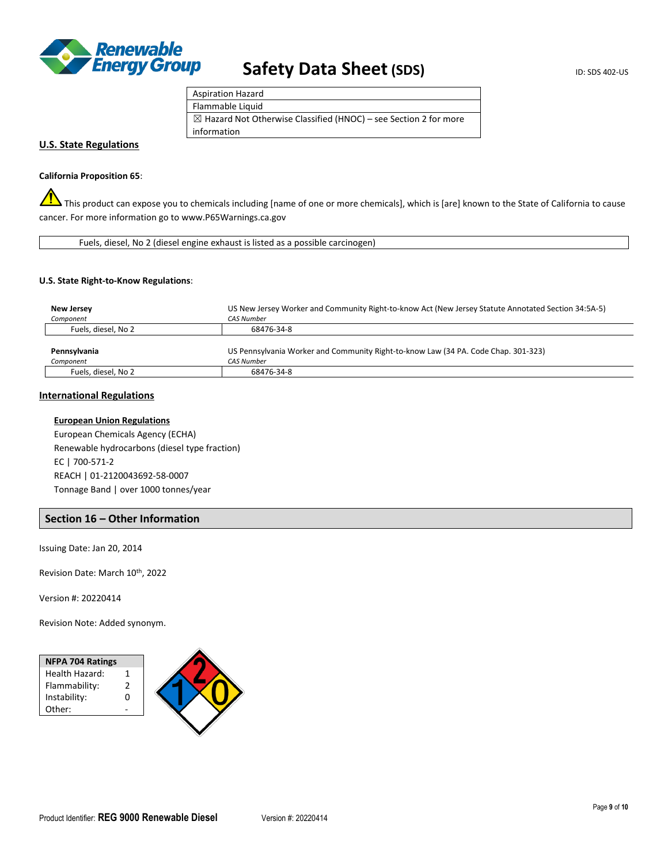

| <b>Aspiration Hazard</b>                                                    |
|-----------------------------------------------------------------------------|
| Flammable Liquid                                                            |
| $\boxtimes$ Hazard Not Otherwise Classified (HNOC) – see Section 2 for more |
| information                                                                 |

### **U.S. State Regulations**

#### **California Proposition 65**:

This product can expose you to chemicals including [name of one or more chemicals], which is [are] known to the State of California to cause cancer. For more information go to www.P65Warnings.ca.gov

| Fuels, diesel, No 2 (diesel engine exhaust is listed as a possible carcinogen) |  |
|--------------------------------------------------------------------------------|--|

#### **U.S. State Right-to-Know Regulations**:

| New Jersey          | US New Jersey Worker and Community Right-to-know Act (New Jersey Statute Annotated Section 34:5A-5) |
|---------------------|-----------------------------------------------------------------------------------------------------|
| Component           | <b>CAS Number</b>                                                                                   |
| Fuels, diesel, No 2 | 68476-34-8                                                                                          |
|                     |                                                                                                     |
| Pennsylvania        | US Pennsylvania Worker and Community Right-to-know Law (34 PA. Code Chap. 301-323)                  |
| Component           | <b>CAS Number</b>                                                                                   |
| Fuels, diesel, No 2 | 68476-34-8                                                                                          |

### **International Regulations**

#### **European Union Regulations**

European Chemicals Agency (ECHA) Renewable hydrocarbons (diesel type fraction) EC | 700-571-2 REACH | 01-2120043692-58-0007 Tonnage Band | over 1000 tonnes/year

### **Section 16 – Other Information**

Issuing Date: Jan 20, 2014

Revision Date: March 10th, 2022

Version #: 20220414

Revision Note: Added synonym.

| <b>NFPA 704 Ratings</b> |  |
|-------------------------|--|
| Health Hazard:          |  |
| Flammability:           |  |
| Instability:            |  |
| Other:                  |  |
|                         |  |

☎